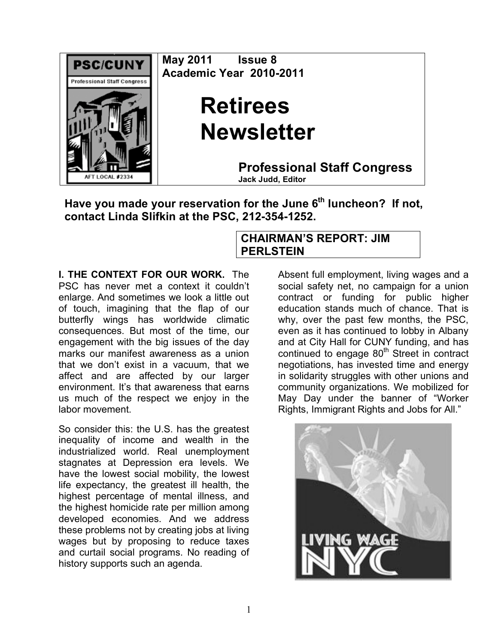

**May 2011 Issue 8 Academic Year 2010-2011**

## **Retirees Newsletter**

**Professional Staff Congress Jack Judd, Editor**

Have you made your reservation for the June 6<sup>th</sup> luncheon? If not, **contact Linda Slifkin at the PSC, 212-354-1252.**

## **I. THE CONTEXT FOR OUR WORK.** The PSC has never met a context it couldn't enlarge. And sometimes we look a little out of touch, imagining that the flap of our butterfly wings has worldwide climatic consequences. But most of the time, our engagement with the big issues of the day marks our manifest awareness as a union that we don't exist in a vacuum, that we affect and are affected by our larger environment. It's that awareness that earns us much of the respect we enjoy in the labor movement.

So consider this: the U.S. has the greatest inequality of income and wealth in the industrialized world. Real unemployment stagnates at Depression era levels. We have the lowest social mobility, the lowest life expectancy, the greatest ill health, the highest percentage of mental illness, and the highest homicide rate per million among developed economies. And we address these problems not by creating jobs at living wages but by proposing to reduce taxes and curtail social programs. No reading of history supports such an agenda.

## **CHAIRMAN'S REPORT: JIM PERLSTEIN**

Absent full employment, living wages and a social safety net, no campaign for a union contract or funding for public higher education stands much of chance. That is why, over the past few months, the PSC, even as it has continued to lobby in Albany and at City Hall for CUNY funding, and has continued to engage  $80<sup>th</sup>$  Street in contract negotiations, has invested time and energy in solidarity struggles with other unions and community organizations. We mobilized for May Day under the banner of "Worker Rights, Immigrant Rights and Jobs for All."

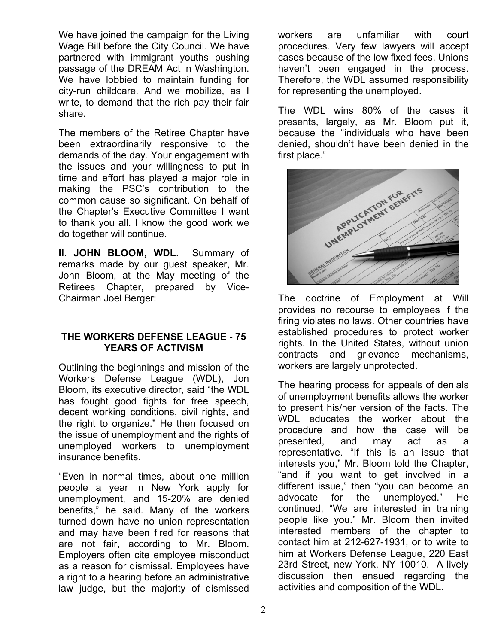We have joined the campaign for the Living Wage Bill before the City Council. We have partnered with immigrant youths pushing passage of the DREAM Act in Washington. We have lobbied to maintain funding for city-run childcare. And we mobilize, as I write, to demand that the rich pay their fair share.

The members of the Retiree Chapter have been extraordinarily responsive to the demands of the day. Your engagement with the issues and your willingness to put in time and effort has played a major role in making the PSC's contribution to the common cause so significant. On behalf of the Chapter's Executive Committee I want to thank you all. I know the good work we do together will continue.

**II**. **JOHN BLOOM, WDL**. Summary of remarks made by our guest speaker, Mr. John Bloom, at the May meeting of the Retirees Chapter, prepared by Vice-Chairman Joel Berger:

## **THE WORKERS DEFENSE LEAGUE - 75 YEARS OF ACTIVISM**

Outlining the beginnings and mission of the Workers Defense League (WDL), Jon Bloom, its executive director, said "the WDL has fought good fights for free speech, decent working conditions, civil rights, and the right to organize." He then focused on the issue of unemployment and the rights of unemployed workers to unemployment insurance benefits.

"Even in normal times, about one million people a year in New York apply for unemployment, and 15-20% are denied benefits," he said. Many of the workers turned down have no union representation and may have been fired for reasons that are not fair, according to Mr. Bloom. Employers often cite employee misconduct as a reason for dismissal. Employees have a right to a hearing before an administrative law judge, but the majority of dismissed workers are unfamiliar with court procedures. Very few lawyers will accept cases because of the low fixed fees. Unions haven't been engaged in the process. Therefore, the WDL assumed responsibility for representing the unemployed.

The WDL wins 80% of the cases it presents, largely, as Mr. Bloom put it, because the "individuals who have been denied, shouldn't have been denied in the first place."



The doctrine of Employment at Will provides no recourse to employees if the firing violates no laws. Other countries have established procedures to protect worker rights. In the United States, without union contracts and grievance mechanisms, workers are largely unprotected.

The hearing process for appeals of denials of unemployment benefits allows the worker to present his/her version of the facts. The WDL educates the worker about the procedure and how the case will be presented, and may act as a representative. "If this is an issue that interests you," Mr. Bloom told the Chapter, "and if you want to get involved in a different issue," then "you can become an advocate for the unemployed." He continued, "We are interested in training people like you." Mr. Bloom then invited interested members of the chapter to contact him at 212-627-1931, or to write to him at Workers Defense League, 220 East 23rd Street, new York, NY 10010. A lively discussion then ensued regarding the activities and composition of the WDL.